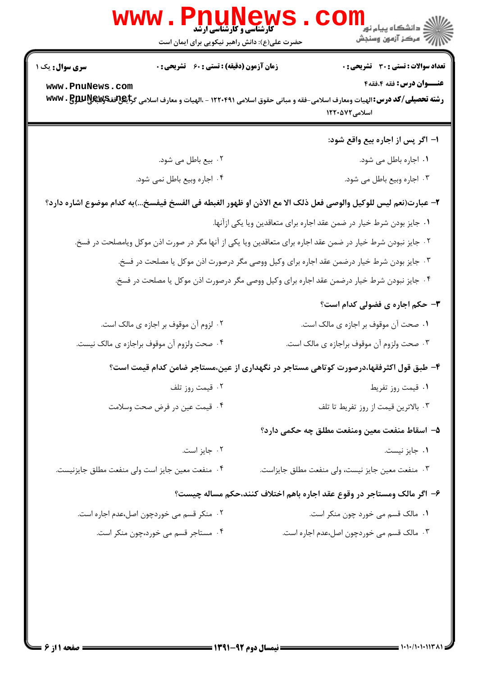|                                           | <b>WWW</b><br><b>کارشناسی و کارشناسی ارشد</b><br>حضرت علی(ع): دانش راهبر نیکویی برای ایمان است | ڪ دانشڪاه پيا <sub>م</sub> نور<br><mark>ر</mark> ∕ مرڪز آزمون وسنڊش                                                                                                                                                         |
|-------------------------------------------|------------------------------------------------------------------------------------------------|-----------------------------------------------------------------------------------------------------------------------------------------------------------------------------------------------------------------------------|
| <b>سری سوال :</b> یک ۱<br>www.PnuNews.com | <b>زمان آزمون (دقیقه) : تستی : 60 ٪ تشریحی : 0</b>                                             | <b>تعداد سوالات : تستی : 30 ٪ تشریحی : 0</b><br>عنــوان درس: فقه 4،فقه4<br>رشته تحصیلی/کد درس: الهیات ومعارف اسلامی-فقه و مبانی حقوق اسلامی ۱۲۲۰۴۹۱ - ،الهیات و معارف اسلامی گرایگر3ققچکیالاللاقیا www . B<br>اسلامی۱۲۲۰۵۷۲ |
|                                           |                                                                                                | ۱– اگر پس از اجاره بیع واقع شود:                                                                                                                                                                                            |
|                                           | ۰۲ بیع باطل می شود.                                                                            | ۰۱ اجاره باطل می شود.                                                                                                                                                                                                       |
| ۰۴ اجاره وبیع باطل نمی شود.               |                                                                                                | ۰۳ اجاره وبیع باطل می شود.                                                                                                                                                                                                  |
|                                           |                                                                                                | ٢- عبارت(نعم ليس للوكيل والوصى فعل ذلك الا مع الاذن او ظهور الغبطه في الفسخ فيفسخ)به كدام موضوع اشاره دارد؟                                                                                                                 |
|                                           |                                                                                                | ۰۱ جایز بودن شرط خیار در ضمن عقد اجاره برای متعاقدین ویا یکی ازآنها.                                                                                                                                                        |
|                                           |                                                                                                | ۰۲ جایز نبودن شرط خیار در ضمن عقد اجاره برای متعاقدین ویا یکی از آنها مگر در صورت اذن موکل ویامصلحت در فسخ.                                                                                                                 |
|                                           |                                                                                                | ۰۳ جایز بودن شرط خیار درضمن عقد اجاره برای وکیل ووصی مگر درصورت اذن موکل یا مصلحت در فسخ.                                                                                                                                   |
|                                           |                                                                                                | ۰۴ جایز نبودن شرط خیار درضمن عقد اجاره برای وکیل ووصی مگر درصورت اذن موکل یا مصلحت در فسخ.                                                                                                                                  |
|                                           |                                                                                                | <b>۳</b> - حکم اجاره ی فضولی کدام است؟                                                                                                                                                                                      |
|                                           | ۰۲ لزوم آن موقوف بر اجازه ی مالک است.                                                          | ۰۱ صحت آن موقوف بر اجازه ی مالک است.                                                                                                                                                                                        |
|                                           | ۰۴ صحت ولزوم آن موقوف براجازه ی مالک نیست.                                                     | ۰۳ صحت ولزوم آن موقوف براجازه ی مالک است.                                                                                                                                                                                   |
|                                           |                                                                                                | ۴– طبق قول اکثرفقها،درصورت کوتاهی مستاجر در نگهداری از عین،مستاجر ضامن کدام قیمت است؟                                                                                                                                       |
|                                           | ۰۲ قیمت روز تلف                                                                                | ٠١ قيمت روز تفريط                                                                                                                                                                                                           |
|                                           | ۰۴ قیمت عین در فرض صحت وسلامت                                                                  | ۰۳ بالاترين قيمت از روز تفريط تا تلف                                                                                                                                                                                        |
|                                           |                                                                                                | ۵− اسقاط منفعت معين ومنفعت مطلق چه حكمي دارد؟                                                                                                                                                                               |
|                                           | ۰۲ جایز است.                                                                                   | ۰۱ جایز نیست.                                                                                                                                                                                                               |
|                                           | ۰۴ منفعت معين جايز است ولي منفعت مطلق جايزنيست.                                                | ۰۳ منفعت معین جایز نیست، ولی منفعت مطلق جایزاست.                                                                                                                                                                            |
|                                           |                                                                                                | ۶– اگر مالک ومستاجر در وقوع عقد اجاره باهم اختلاف کنند،حکم مساله چیست؟                                                                                                                                                      |
|                                           | ۰۲ منکر قسم می خوردچون اصل،عدم اجاره است.                                                      | ٠١. مالک قسم مي خورد چون منکر است.                                                                                                                                                                                          |
|                                           | ۰۴ مستاجر قسم می خورد،چون منکر است.                                                            | ۰۳ مالک قسم می خوردچون اصل،عدم اجاره است.                                                                                                                                                                                   |
|                                           |                                                                                                |                                                                                                                                                                                                                             |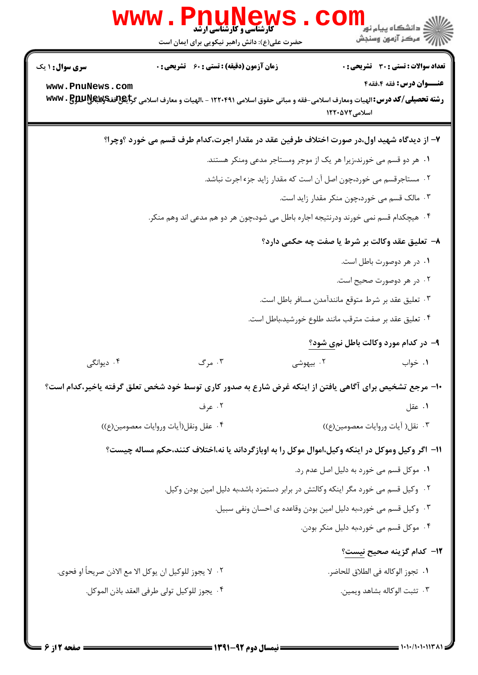|                                                                                     | w w w<br><b>کارشناسی و کارشناسی ارشد</b><br>حضرت علی(ع): دانش راهبر نیکویی برای ایمان است | د دانشڪاه پيام نور<br>7- مرڪز آزمون وسنڊش                                                                                                                         |  |  |  |
|-------------------------------------------------------------------------------------|-------------------------------------------------------------------------------------------|-------------------------------------------------------------------------------------------------------------------------------------------------------------------|--|--|--|
| <b>سری سوال : ۱ یک</b>                                                              | <b>زمان آزمون (دقیقه) : تستی : 60 ٪ تشریحی : 0</b>                                        | <b>تعداد سوالات : تستی : 30 ٪ تشریحی : 0</b>                                                                                                                      |  |  |  |
| www.PnuNews.com                                                                     |                                                                                           | عنــوان درس: فقه 4،فقه4<br>رشته تحصیلی/کد درس:الهیات ومعارف اسلامی-فقه و مبانی حقوق اسلامی ۱۲۲۰۴۹۱ - ،الهیات و معارف اسلامی گرایگر3فقهپ۷۷۷۰ MWW<br>اسلامی ۱۲۲۰۵۷۲ |  |  |  |
|                                                                                     |                                                                                           | ۷- از دیدگاه شهید اول،در صورت اختلاف طرفین عقد در مقدار اجرت،کدام طرف قسم می خورد ؟وچرا؟                                                                          |  |  |  |
|                                                                                     |                                                                                           | ۰۱ هر دو قسم می خورند،زیرا هر یک از موجر ومستاجر مدعی ومنکر هستند.                                                                                                |  |  |  |
| ۰۲ مستاجرقسم می خورد،چون اصل آن است که مقدار زاید جزء اجرت نباشد.                   |                                                                                           |                                                                                                                                                                   |  |  |  |
|                                                                                     | ۰۳ مالک قسم می خورد،چون منکر مقدار زاید است.                                              |                                                                                                                                                                   |  |  |  |
| ۰۴ هیچکدام قسم نمی خورند ودرنتیجه اجاره باطل می شود،چون هر دو هم مدعی اند وهم منکر. |                                                                                           |                                                                                                                                                                   |  |  |  |
|                                                                                     |                                                                                           | ٨- تعليق عقد وكالت بر شرط يا صفت چه حكمي دارد؟                                                                                                                    |  |  |  |
|                                                                                     |                                                                                           | ۰۱ در هر دوصورت باطل است.                                                                                                                                         |  |  |  |
|                                                                                     |                                                                                           | ۰۲ در هر دوصورت صحیح است.                                                                                                                                         |  |  |  |
|                                                                                     |                                                                                           | ۰۳ تعلیق عقد بر شرط متوقع مانندآمدن مسافر باطل است.                                                                                                               |  |  |  |
|                                                                                     |                                                                                           | ۰۴ تعلیق عقد بر صفت مترقب مانند طلوع خورشید،باطل است.                                                                                                             |  |  |  |
|                                                                                     |                                                                                           | ۹- در کدام مورد وکالت باطل نمی شود؟                                                                                                                               |  |  |  |
| ۰۴ دیوانگی                                                                          | ۰۳ مرگ                                                                                    | ۰۲ بیهوشی<br>۰۱ خواب                                                                                                                                              |  |  |  |
|                                                                                     |                                                                                           | ∙ا− مرجع تشخیص برای آگاهی یافتن از اینکه غرض شارع به صدور کاری توسط خود شخص تعلق گرفته یاخیر،کدام است؟                                                            |  |  |  |
|                                                                                     | ۰۲ عرف                                                                                    | ۰۱ عقل                                                                                                                                                            |  |  |  |
| ۰۴ عقل ونقل(آيات وروايات معصومين(ع))                                                |                                                                                           | ۰۳ نقل( آيات وروايات معصومين(ع))                                                                                                                                  |  |  |  |
|                                                                                     |                                                                                           | 1۱– اگر وکیل وموکل در اینکه وکیل،اموال موکل را به اوبازگرداند یا نه،اختلاف کنند،حکم مساله چیست؟                                                                   |  |  |  |
|                                                                                     |                                                                                           | ٠١ موكل قسم مي خورد به دليل اصل عدم رد.                                                                                                                           |  |  |  |
|                                                                                     |                                                                                           | ۰۲ وکیل قسم می خورد مگر اینکه وکالتش در برابر دستمزد باشد،به دلیل امین بودن وکیل.                                                                                 |  |  |  |
|                                                                                     |                                                                                           | ۰۳ وکیل قسم می خورد،به دلیل امین بودن وقاعده ی احسان ونفی سبیل.                                                                                                   |  |  |  |
|                                                                                     |                                                                                           | ۰۴ موکل قسم می خورد،به دلیل منکر بودن.                                                                                                                            |  |  |  |
|                                                                                     |                                                                                           | 1 <b>۲</b> – كدام گزينه صحيح <u>نيست</u> ؟                                                                                                                        |  |  |  |
|                                                                                     | ٠٢ لا يجوز للوكيل ان يوكل الا مع الاذن صريحاً او فحوى.                                    | ٠١.  تجوز الوكاله في الطلاق للحاضر.                                                                                                                               |  |  |  |
|                                                                                     | ۴ .  يجوز للوكيل تولى طرفي العقد باذن الموكل.                                             | ٠٣ تثبت الوكاله بشاهد ويمين.                                                                                                                                      |  |  |  |
|                                                                                     |                                                                                           |                                                                                                                                                                   |  |  |  |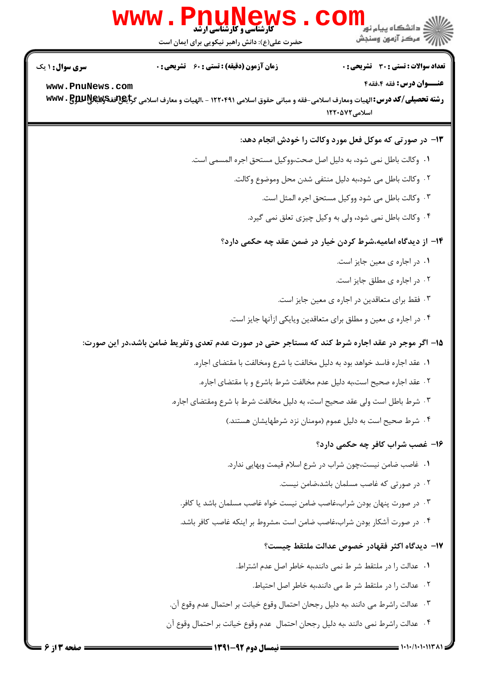|                        | <b>WWW.PNUNews</b><br><b>کارشناسی و کارشناسی ارشد</b><br>حضرت علی(ع): دانش راهبر نیکویی برای ایمان است                                         | ڪ دانشڪاه پيا <sub>م</sub> نور<br><mark>ر</mark> 7 مرڪز آزمون وسنڊش |
|------------------------|------------------------------------------------------------------------------------------------------------------------------------------------|---------------------------------------------------------------------|
| <b>سری سوال : ۱ یک</b> | <b>زمان آزمون (دقیقه) : تستی : 60 ٪ تشریحی : 0</b>                                                                                             | تعداد سوالات : تستي : 30 ٪ تشريحي : 0                               |
| www.PnuNews.com        |                                                                                                                                                | عنــوان درس: فقه 4،فقه4                                             |
|                        | رشته تحصیلی/کد درس: الهیات ومعارف اسلامی-فقه و مبانی حقوق اسلامی ۱۲۲۰۴۹۱ - ،الهیات و معارف اسلامی گرایگل <sup>تو</sup> قةچکایالالالالا www . B | اسلامی ۱۲۲۰۵۷۲                                                      |
|                        |                                                                                                                                                | ۱۳- در صورتی که موکل فعل مورد وکالت را خودش انجام دهد:              |
|                        | ٠١ وكالت باطل نمى شود، به دليل اصل صحت،ووكيل مستحق اجره المسمى است.                                                                            |                                                                     |
|                        |                                                                                                                                                | ٠٢ وكالت باطل مي شود،به دليل منتفى شدن محل وموضوع وكالت.            |
|                        |                                                                                                                                                | ۰۳ وكالت باطل مى شود ووكيل مستحق اجره المثل است.                    |
|                        |                                                                                                                                                | ۰۴ وکالت باطل نمی شود، ولی به وکیل چیزی تعلق نمی گیرد.              |
|                        |                                                                                                                                                | ۱۴– از دیدگاه امامیه،شرط کردن خیار در ضمن عقد چه حکمی دارد؟         |
|                        |                                                                                                                                                | ٠١ در اجاره ي معين جايز است.                                        |
|                        |                                                                                                                                                | ٠٢ در اجاره ی مطلق جایز است.                                        |
|                        |                                                                                                                                                | ۰۳ فقط برای متعاقدین در اجاره ی معین جایز است.                      |
|                        |                                                                                                                                                | ۰۴ در اجاره ی معین و مطلق برای متعاقدین ویایکی ازآنها جایز است.     |
|                        | ۱۵– اگر موجر در عقد اجاره شرط کند که مستاجر حتی در صورت عدم تعدی وتفریط ضامن باشد،در این صورت:                                                 |                                                                     |
|                        | ٠١ عقد اجاره فاسد خواهد بود به دليل مخالفت با شرع ومخالفت با مقتضاى اجاره.                                                                     |                                                                     |
|                        | ٢. عقد اجاره صحيح است،به دليل عدم مخالفت شرط باشرع و با مقتضاى اجاره.                                                                          |                                                                     |
|                        | ٠٣ شرط باطل است ولي عقد صحيح است، به دليل مخالفت شرط با شرع ومقتضاى اجاره.                                                                     |                                                                     |
|                        |                                                                                                                                                | ۰۴ شرط صحیح است به دلیل عموم (مومنان نزد شرطهایشان هستند.)          |
|                        |                                                                                                                                                | ۱۶– غصب شراب کافر چه حکمی دارد؟                                     |
|                        |                                                                                                                                                | ٠١ غاصب ضامن نيست،چون شراب در شرع اسلام قيمت وبهايي ندارد.          |
|                        |                                                                                                                                                | ۰۲ در صورتی که غاصب مسلمان باشد،ضامن نیست.                          |
|                        | ۰۳ در صورت پنهان بودن شراب،غاصب ضامن نیست خواه غاصب مسلمان باشد یا کافر.                                                                       |                                                                     |
|                        | ۰۴ در صورت آشکار بودن شراب،غاصب ضامن است ،مشروط بر اینکه غاصب کافر باشد.                                                                       |                                                                     |
|                        |                                                                                                                                                | IY− ديدگاه اكثر فقهادر خصوص عدالت ملتقط چيست؟                       |
|                        |                                                                                                                                                | ۰۱ عدالت را در ملتقط شر ط نمی دانند،به خاطر اصل عدم اشتراط.         |
|                        |                                                                                                                                                | ٢. عدالت را در ملتقط شر ط مي دانند،به خاطر اصل احتياط.              |
|                        | ٠٣ عدالت راشرط مي دانند ،به دليل رجحان احتمال وقوع خيانت بر احتمال عدم وقوع آن.                                                                |                                                                     |
|                        | ۰۴ عدالت راشرط نمی دانند ،به دلیل رجحان احتمال عدم وقوع خیانت بر احتمال وقوع آن                                                                |                                                                     |
|                        |                                                                                                                                                |                                                                     |

 $/1.1.117A$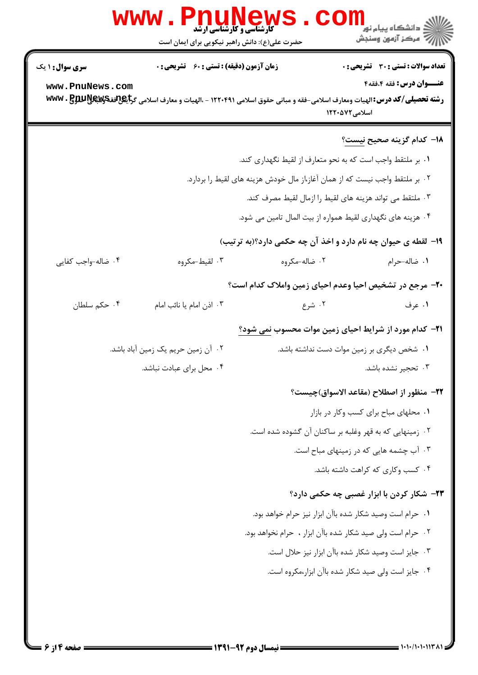|                                   |                                                    | حضرت علی(ع): دانش راهبر نیکویی برای ایمان است                                                                                                       |                                                                         |
|-----------------------------------|----------------------------------------------------|-----------------------------------------------------------------------------------------------------------------------------------------------------|-------------------------------------------------------------------------|
| سری سوال: ۱ یک<br>www.PnuNews.com | <b>زمان آزمون (دقیقه) : تستی : 60 ٪ تشریحی : 0</b> | رشته تحصیلی/کد درس: الهیات ومعارف اسلامی-فقه و مبانی حقوق اسلامی ۱۲۲۰۴۹۱ - ،الهیات و معارف اسلامی گراچگرافقکرلایالالالایس WWW . B<br>اسلامی ۱۲۲۰۵۷۲ | <b>تعداد سوالات : تستی : 30 ٪ تشریحی : 0</b><br>عنــوان درس: فقه ۰۴قه ۴ |
|                                   |                                                    |                                                                                                                                                     | ۱۸− کدام گزینه صحیح ن <u>یست</u> ؟                                      |
|                                   |                                                    | ۰۱ بر ملتقط واجب است که به نحو متعارف از لقیط نگهداری کند.                                                                                          |                                                                         |
|                                   |                                                    | ۲. بر ملتقط واجب نیست که از همان آغاز،از مال خودش هزینه های لقیط را بردارد.                                                                         |                                                                         |
|                                   |                                                    | ۰۳ ملتقط می تواند هزینه های لقیط را ازمال لقیط مصرف کند.                                                                                            |                                                                         |
|                                   |                                                    | ۰۴ هزینه های نگهداری لقیط همواره از بیت المال تامین می شود.                                                                                         |                                                                         |
|                                   |                                                    | ۱۹- لقطه ی حیوان چه نام دارد و اخذ آن چه حکمی دارد؟(به ترتیب)                                                                                       |                                                                         |
| ۰۴ ضاله-واجب کفایی                | ۰۳ لقيط-مكروه                                      | ۰۲ ضاله-مکروه                                                                                                                                       | ٠١ ضاله-حرام                                                            |
|                                   |                                                    | +۲- مرجع در تشخیص احیا وعدم احیای زمین واملاک کدام است؟                                                                                             |                                                                         |
| ۰۴ حکم سلطان                      | ۰۳ اذن امام یا نائب امام                           | ۰۲ شرع                                                                                                                                              | ۰۱ عرف                                                                  |
|                                   |                                                    | <b>۲۱</b> - کدام مورد از شرایط احیای زمین موات محسوب نمی شود؟                                                                                       |                                                                         |
|                                   | ۰۲ آن زمین حریم یک زمین آباد باشد.                 | ۰۱ شخص دیگری بر زمین موات دست نداشته باشد.                                                                                                          |                                                                         |
|                                   | ۰۴ محل برای عبادت نباشد.                           |                                                                                                                                                     | ۰۳ تحجیر نشده باشد.                                                     |
|                                   |                                                    |                                                                                                                                                     | ٢٢- منظور از اصطلاح (مقاعد الاسواق)چيست؟                                |
|                                   |                                                    |                                                                                                                                                     | ٠١ محلهای مباح برای کسب وکار در بازار                                   |
|                                   |                                                    | ۰۲ زمینهایی که به قهر وغلبه بر ساکنان آن گشوده شده است.                                                                                             |                                                                         |
|                                   |                                                    |                                                                                                                                                     | ۰۳ آب چشمه هایی که در زمینهای مباح است.                                 |
|                                   |                                                    |                                                                                                                                                     | ۰۴ کسب وکاری که کراهت داشته باشد.                                       |
|                                   |                                                    |                                                                                                                                                     | <b>۲۳</b> - شکار کردن با ابزار غصبی چه حکمی دارد؟                       |
|                                   |                                                    | ٠١. حرام است وصيد شكار شده باآن ابزار نيز حرام خواهد بود.                                                                                           |                                                                         |
|                                   |                                                    | ٠٢ حرام است ولي صيد شكار شده باآن ابزار ، حرام نخواهد بود.                                                                                          |                                                                         |
|                                   |                                                    | ٠٣ جايز است وصيد شكار شده باآن ابزار نيز حلال است.                                                                                                  |                                                                         |
|                                   |                                                    | ۰۴ جایز است ولی صید شکار شده باآن ابزار،مکروه است.                                                                                                  |                                                                         |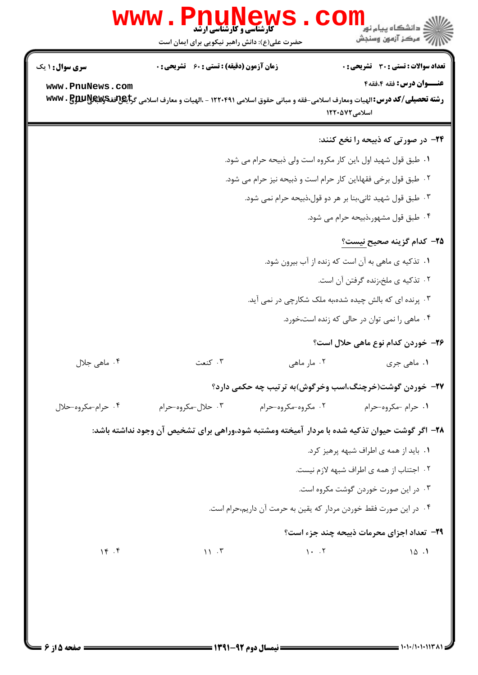| VV VV VV               | <b>کارشناسی و کارشناسی ارشد</b><br>حضرت علی(ع): دانش راهبر نیکویی برای ایمان است                                                                                                                                                 |                                                                   | <sub>ز</sub> دانشگاه پيام نور<br>رِ آھرڪز آزمون وسنڊش          |
|------------------------|----------------------------------------------------------------------------------------------------------------------------------------------------------------------------------------------------------------------------------|-------------------------------------------------------------------|----------------------------------------------------------------|
| <b>سری سوال : ۱ یک</b> | زمان آزمون (دقیقه) : تستی : 60 ٪ تشریحی : 0                                                                                                                                                                                      |                                                                   | <b>تعداد سوالات : تستی : 30 ٪ تشریحی : 0</b>                   |
| www.PnuNews.com        | رشته تحصیلی/کد درس: الهیات ومعارف اسلامی-فقه و مبانی حقوق اسلامی ۱۲۲۰۴۹۱ - ،الهیات و معارف اسلامی گرایگر3ققکریکلیکل<br>در استه تحصیلی/کد درس: الهیات ومعارف اسلامی-فقه و مبانی حقوق اسلامی ۱۲۲۰۴۹۱ - ،الهیات و معارف اسلامی گرای |                                                                   | عنــوان درس: فقه 4،فقه4<br>اسلامی ۱۲۲۰۵۷۲                      |
|                        |                                                                                                                                                                                                                                  |                                                                   | <b>۲۴</b> - در صورتی که ذبیحه را نخع کنند:                     |
|                        |                                                                                                                                                                                                                                  | ٠١ طبق قول شهيد اول ،اين كار مكروه است ولي ذبيحه حرام مي شود.     |                                                                |
|                        |                                                                                                                                                                                                                                  | ۰۲ طبق قول برخی فقها،این کار حرام است و ذبیحه نیز حرام می شود.    |                                                                |
|                        |                                                                                                                                                                                                                                  | ۰۳ طبق قول شهید ثانی،بنا بر هر دو قول،ذبیحه حرام نمی شود.         |                                                                |
|                        |                                                                                                                                                                                                                                  |                                                                   | ۰۴ طبق قول مشهور،ذبیحه حرام می شود.                            |
|                        |                                                                                                                                                                                                                                  |                                                                   | <b>۲۵</b> – کدام گزینه صحیح نیست؟                              |
|                        |                                                                                                                                                                                                                                  |                                                                   | ۰۱ تذکیه ی ماهی به آن است که زنده از آب بیرون شود.             |
|                        |                                                                                                                                                                                                                                  |                                                                   | ۰۲ تذکیه ی ملخ،زنده گرفتن آن است.                              |
|                        |                                                                                                                                                                                                                                  | ۰۳ پرنده ای که بالش چیده شده،به ملک شکارچی در نمی آید.            |                                                                |
|                        |                                                                                                                                                                                                                                  |                                                                   | ۰۴ ماهی را نمی توان در حالی که زنده است،خورد.                  |
|                        |                                                                                                                                                                                                                                  |                                                                   | ۲۶– خوردن کدام نوع ماهی حلال است؟                              |
| ۰۴ ماهی جلال           | ۰۳ کنعت                                                                                                                                                                                                                          | ۰۲ مار ماهی                                                       | ۱. ماهي جري                                                    |
|                        |                                                                                                                                                                                                                                  |                                                                   | <b>۲۷</b> - خوردن گوشت(خرچنگ،اسب وخرگوش)به ترتیب چه حکمی دارد؟ |
| ۰۴ حرام-مکروه-حلال     | ۰۳ حلال-مکروه-حرام                                                                                                                                                                                                               | ۰۲ مکروه-مکروه-حرام                                               | ۰۱ حرام -مکروه-حرام                                            |
|                        | ۲۸– اگر گوشت حیوان تذکیه شده با مردار آمیخته ومشتبه شود،وراهی برای تشخیص آن وجود نداشته باشد:                                                                                                                                    |                                                                   |                                                                |
|                        |                                                                                                                                                                                                                                  |                                                                   | ۰۱ باید از همه ی اطراف شبهه پرهیز کرد.                         |
|                        |                                                                                                                                                                                                                                  |                                                                   | ٢. اجتناب از همه ى اطراف شبهه لازم نيست.                       |
|                        |                                                                                                                                                                                                                                  |                                                                   | ۰۳ در این صورت خوردن گوشت مکروه است.                           |
|                        |                                                                                                                                                                                                                                  | ۰۴ در این صورت فقط خوردن مردار که یقین به حرمت آن داریم،حرام است. |                                                                |
|                        |                                                                                                                                                                                                                                  |                                                                   | <b>۲۹</b> - تعداد اجزای محرمات ذبیحه چند جزء است؟              |
| 15.5                   | $\mathcal{N}$ . $\mathcal{N}$                                                                                                                                                                                                    | $1 - 5$                                                           | 10.1                                                           |
|                        |                                                                                                                                                                                                                                  |                                                                   |                                                                |
|                        |                                                                                                                                                                                                                                  |                                                                   |                                                                |
|                        |                                                                                                                                                                                                                                  |                                                                   |                                                                |

**DESIMATE** 

 $\bigcap$ 

 $1.5.5$ 

in Ja

ŋ